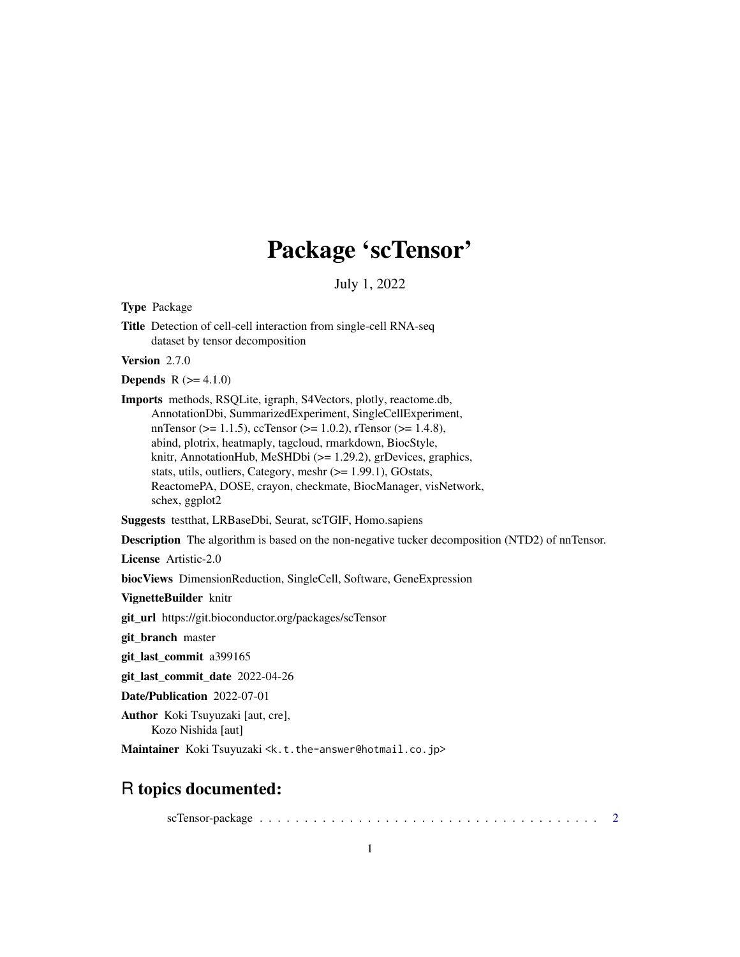# Package 'scTensor'

July 1, 2022

<span id="page-0-0"></span>Type Package

Title Detection of cell-cell interaction from single-cell RNA-seq dataset by tensor decomposition

Version 2.7.0

**Depends**  $R (= 4.1.0)$ 

Imports methods, RSQLite, igraph, S4Vectors, plotly, reactome.db, AnnotationDbi, SummarizedExperiment, SingleCellExperiment, nnTensor ( $>= 1.1.5$ ), ccTensor ( $>= 1.0.2$ ), rTensor ( $>= 1.4.8$ ), abind, plotrix, heatmaply, tagcloud, rmarkdown, BiocStyle, knitr, AnnotationHub, MeSHDbi (>= 1.29.2), grDevices, graphics, stats, utils, outliers, Category, meshr ( $>= 1.99.1$ ), GOstats, ReactomePA, DOSE, crayon, checkmate, BiocManager, visNetwork, schex, ggplot2

Suggests testthat, LRBaseDbi, Seurat, scTGIF, Homo.sapiens

Description The algorithm is based on the non-negative tucker decomposition (NTD2) of nnTensor.

License Artistic-2.0

biocViews DimensionReduction, SingleCell, Software, GeneExpression

VignetteBuilder knitr

git\_url https://git.bioconductor.org/packages/scTensor

git\_branch master

git\_last\_commit a399165

git\_last\_commit\_date 2022-04-26

Date/Publication 2022-07-01

Author Koki Tsuyuzaki [aut, cre], Kozo Nishida [aut]

Maintainer Koki Tsuyuzaki <k.t.the-answer@hotmail.co.jp>

# R topics documented:

scTensor-package . . . . . . . . . . . . . . . . . . . . . . . . . . . . . . . . . . . . . . [2](#page-1-0)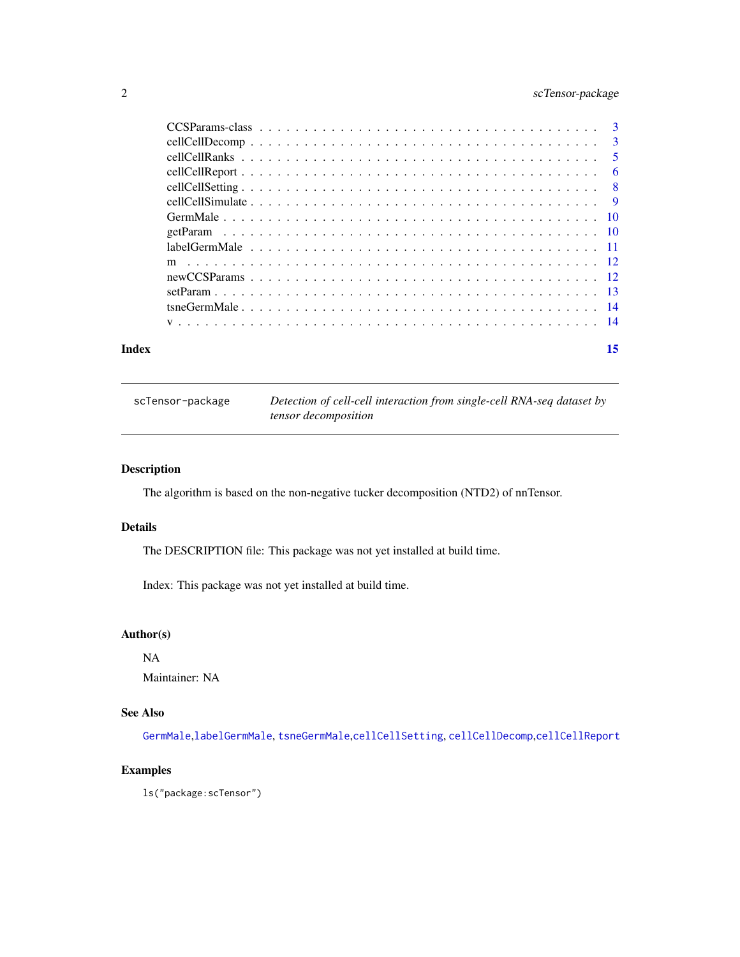# <span id="page-1-0"></span>2 scTensor-package

| Index | 15 |
|-------|----|
|       |    |
|       |    |
|       |    |
|       |    |
|       |    |
|       |    |
|       |    |
|       |    |
|       |    |
|       |    |
|       |    |
|       |    |
|       |    |
|       |    |

| scTensor-package | Detection of cell-cell interaction from single-cell RNA-seq dataset by |
|------------------|------------------------------------------------------------------------|
|                  | <i>tensor decomposition</i>                                            |

# Description

The algorithm is based on the non-negative tucker decomposition (NTD2) of nnTensor.

#### Details

The DESCRIPTION file: This package was not yet installed at build time.

Index: This package was not yet installed at build time.

# Author(s)

NA

Maintainer: NA

# See Also

[GermMale](#page-9-1),[labelGermMale](#page-10-1), [tsneGermMale](#page-13-1),[cellCellSetting](#page-7-1), [cellCellDecomp](#page-2-1),[cellCellReport](#page-5-1)

# Examples

ls("package:scTensor")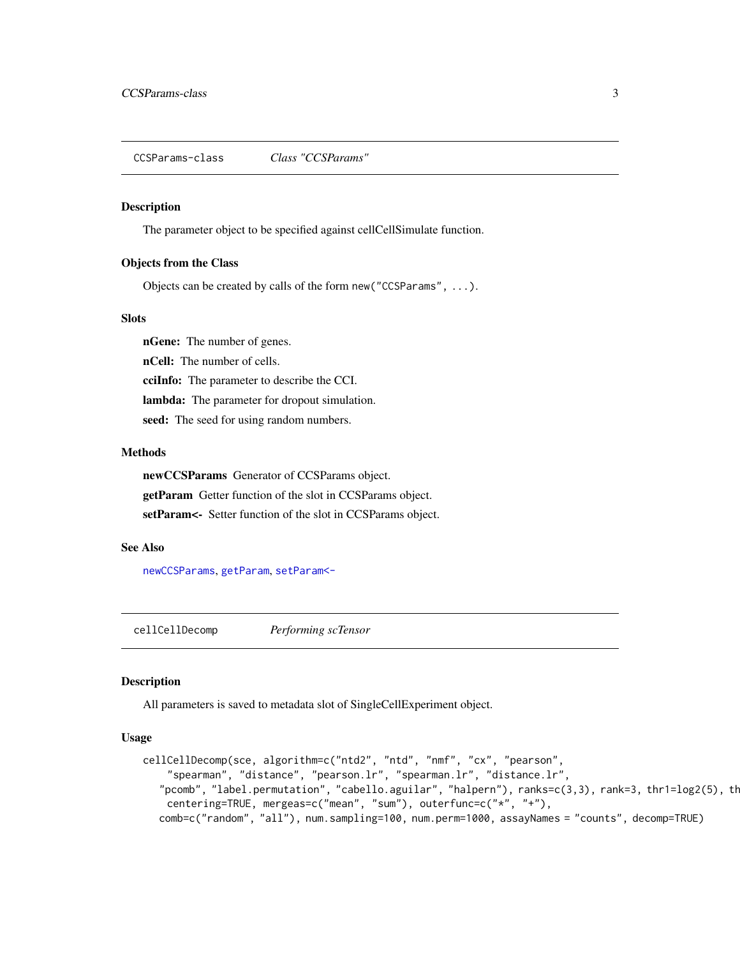<span id="page-2-0"></span>CCSParams-class *Class "CCSParams"*

#### Description

The parameter object to be specified against cellCellSimulate function.

#### Objects from the Class

Objects can be created by calls of the form new("CCSParams", ...).

#### Slots

nGene: The number of genes.

nCell: The number of cells.

cciInfo: The parameter to describe the CCI.

lambda: The parameter for dropout simulation.

seed: The seed for using random numbers.

#### Methods

newCCSParams Generator of CCSParams object.

getParam Getter function of the slot in CCSParams object.

setParam<- Setter function of the slot in CCSParams object.

#### See Also

[newCCSParams](#page-11-1), [getParam](#page-9-2), [setParam<-](#page-12-1)

<span id="page-2-1"></span>cellCellDecomp *Performing scTensor*

### Description

All parameters is saved to metadata slot of SingleCellExperiment object.

#### Usage

```
cellCellDecomp(sce, algorithm=c("ntd2", "ntd", "nmf", "cx", "pearson",
    "spearman", "distance", "pearson.lr", "spearman.lr", "distance.lr",
   "pcomb", "label.permutation", "cabello.aguilar", "halpern"), ranks=c(3,3), rank=3, thr1=log2(5), th
    centering=TRUE, mergeas=c("mean", "sum"), outerfunc=c("*", "+"),
  comb=c("random", "all"), num.sampling=100, num.perm=1000, assayNames = "counts", decomp=TRUE)
```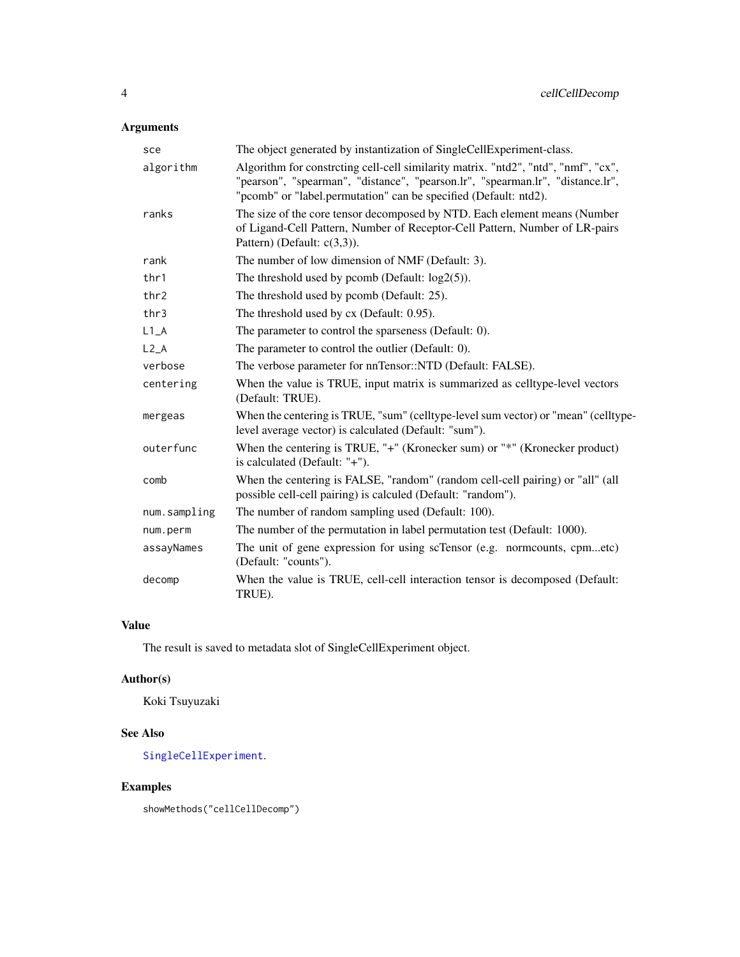# <span id="page-3-0"></span>Arguments

| sce          | The object generated by instantization of SingleCellExperiment-class.                                                                                                                                                                    |  |
|--------------|------------------------------------------------------------------------------------------------------------------------------------------------------------------------------------------------------------------------------------------|--|
| algorithm    | Algorithm for constreting cell-cell similarity matrix. "ntd2", "ntd", "nmf", "cx",<br>"pearson", "spearman", "distance", "pearson.lr", "spearman.lr", "distance.lr",<br>"pcomb" or "label.permutation" can be specified (Default: ntd2). |  |
| ranks        | The size of the core tensor decomposed by NTD. Each element means (Number<br>of Ligand-Cell Pattern, Number of Receptor-Cell Pattern, Number of LR-pairs<br>Pattern) (Default: $c(3,3)$ ).                                               |  |
| rank         | The number of low dimension of NMF (Default: 3).                                                                                                                                                                                         |  |
| thr1         | The threshold used by pcomb (Default: $log2(5)$ ).                                                                                                                                                                                       |  |
| thr2         | The threshold used by pcomb (Default: 25).                                                                                                                                                                                               |  |
| thr3         | The threshold used by cx (Default: 0.95).                                                                                                                                                                                                |  |
| $L1_A$       | The parameter to control the sparseness (Default: 0).                                                                                                                                                                                    |  |
| $L2_A$       | The parameter to control the outlier (Default: 0).                                                                                                                                                                                       |  |
| verbose      | The verbose parameter for nnTensor::NTD (Default: FALSE).                                                                                                                                                                                |  |
| centering    | When the value is TRUE, input matrix is summarized as celltype-level vectors<br>(Default: TRUE).                                                                                                                                         |  |
| mergeas      | When the centering is TRUE, "sum" (celltype-level sum vector) or "mean" (celltype-<br>level average vector) is calculated (Default: "sum").                                                                                              |  |
| outerfunc    | When the centering is TRUE, " $+$ " (Kronecker sum) or " $*$ " (Kronecker product)<br>is calculated (Default: "+").                                                                                                                      |  |
| comb         | When the centering is FALSE, "random" (random cell-cell pairing) or "all" (all<br>possible cell-cell pairing) is calculed (Default: "random").                                                                                           |  |
| num.sampling | The number of random sampling used (Default: 100).                                                                                                                                                                                       |  |
| num.perm     | The number of the permutation in label permutation test (Default: 1000).                                                                                                                                                                 |  |
| assayNames   | The unit of gene expression for using scTensor (e.g. normcounts, cpmetc)<br>(Default: "counts").                                                                                                                                         |  |
| decomp       | When the value is TRUE, cell-cell interaction tensor is decomposed (Default:<br>TRUE).                                                                                                                                                   |  |

# Value

The result is saved to metadata slot of SingleCellExperiment object.

# Author(s)

Koki Tsuyuzaki

# See Also

[SingleCellExperiment](#page-0-0).

# Examples

showMethods("cellCellDecomp")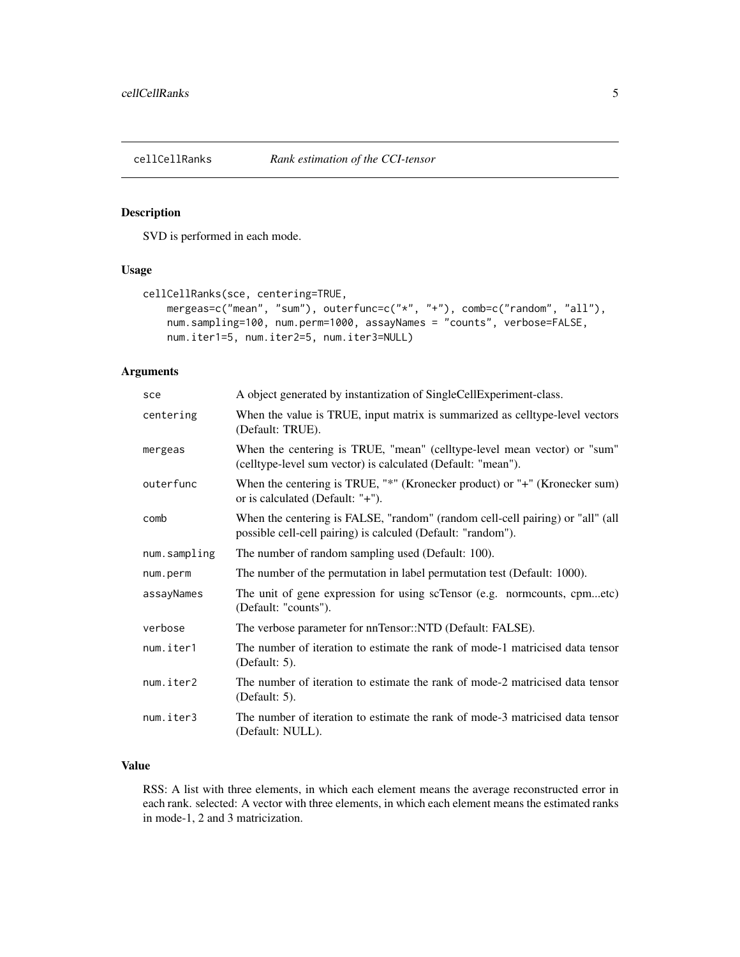<span id="page-4-0"></span>

SVD is performed in each mode.

#### Usage

```
cellCellRanks(sce, centering=TRUE,
   mergeas=c("mean", "sum"), outerfunc=c("*", "+"), comb=c("random", "all"),
    num.sampling=100, num.perm=1000, assayNames = "counts", verbose=FALSE,
    num.iter1=5, num.iter2=5, num.iter3=NULL)
```
# Arguments

| sce          | A object generated by instantization of SingleCellExperiment-class.                                                                            |
|--------------|------------------------------------------------------------------------------------------------------------------------------------------------|
| centering    | When the value is TRUE, input matrix is summarized as celltype-level vectors<br>(Default: TRUE).                                               |
| mergeas      | When the centering is TRUE, "mean" (celltype-level mean vector) or "sum"<br>(celltype-level sum vector) is calculated (Default: "mean").       |
| outerfunc    | When the centering is TRUE, "*" (Kronecker product) or "+" (Kronecker sum)<br>or is calculated (Default: $"+'$ ).                              |
| comb         | When the centering is FALSE, "random" (random cell-cell pairing) or "all" (all<br>possible cell-cell pairing) is calculed (Default: "random"). |
| num.sampling | The number of random sampling used (Default: 100).                                                                                             |
| num.perm     | The number of the permutation in label permutation test (Default: 1000).                                                                       |
| assayNames   | The unit of gene expression for using scTensor (e.g. normcounts, cpmetc)<br>(Default: "counts").                                               |
| verbose      | The verbose parameter for nnTensor::NTD (Default: FALSE).                                                                                      |
| num.iter1    | The number of iteration to estimate the rank of mode-1 matricised data tensor<br>(Default: 5).                                                 |
| num.iter2    | The number of iteration to estimate the rank of mode-2 matricised data tensor<br>(Default: $5$ ).                                              |
| num.iter3    | The number of iteration to estimate the rank of mode-3 matricised data tensor<br>(Default: NULL).                                              |

# Value

RSS: A list with three elements, in which each element means the average reconstructed error in each rank. selected: A vector with three elements, in which each element means the estimated ranks in mode-1, 2 and 3 matricization.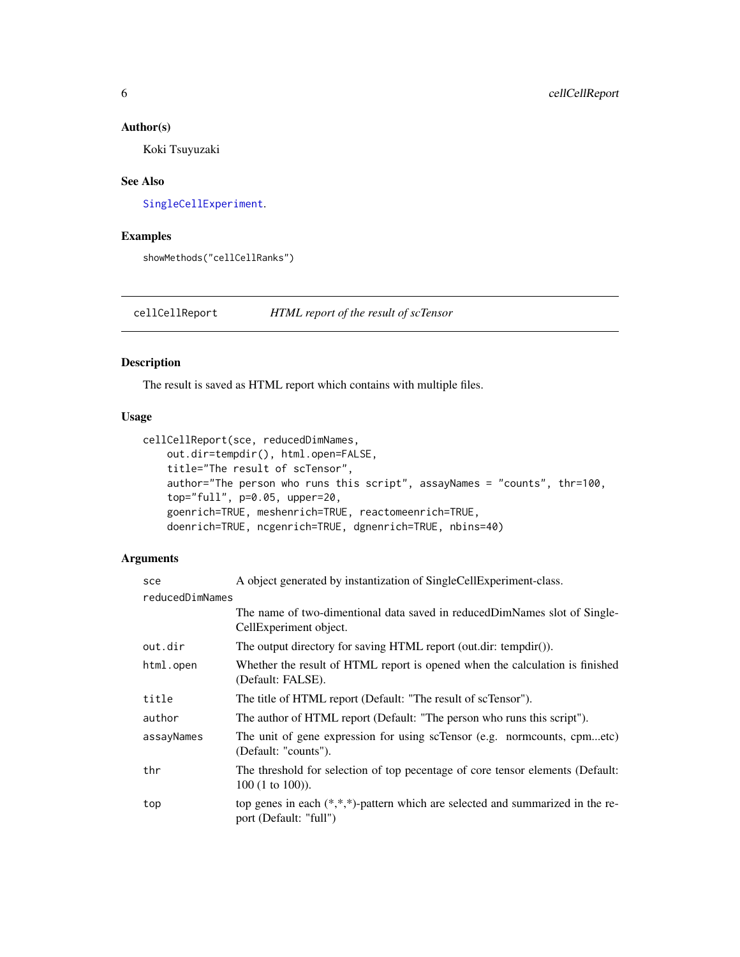#### <span id="page-5-0"></span>Author(s)

Koki Tsuyuzaki

#### See Also

[SingleCellExperiment](#page-0-0).

#### Examples

showMethods("cellCellRanks")

<span id="page-5-1"></span>cellCellReport *HTML report of the result of scTensor*

# Description

The result is saved as HTML report which contains with multiple files.

# Usage

```
cellCellReport(sce, reducedDimNames,
    out.dir=tempdir(), html.open=FALSE,
    title="The result of scTensor",
    author="The person who runs this script", assayNames = "counts", thr=100,
    top="full", p=0.05, upper=20,
    goenrich=TRUE, meshenrich=TRUE, reactomeenrich=TRUE,
    doenrich=TRUE, ncgenrich=TRUE, dgnenrich=TRUE, nbins=40)
```
# Arguments

| sce             | A object generated by instantization of SingleCellExperiment-class.                                         |  |
|-----------------|-------------------------------------------------------------------------------------------------------------|--|
| reducedDimNames |                                                                                                             |  |
|                 | The name of two-dimentional data saved in reduced DimNames slot of Single-<br>CellExperiment object.        |  |
| out.dir         | The output directory for saving HTML report (out.dir: tempdir()).                                           |  |
| html.open       | Whether the result of HTML report is opened when the calculation is finished<br>(Default: FALSE).           |  |
| title           | The title of HTML report (Default: "The result of scTensor").                                               |  |
| author          | The author of HTML report (Default: "The person who runs this script").                                     |  |
| assayNames      | The unit of gene expression for using scTensor (e.g. normcounts, cpmetc)<br>(Default: "counts").            |  |
| thr             | The threshold for selection of top pecentage of core tensor elements (Default:<br>$100 (1 to 100)$ ).       |  |
| top             | top genes in each $(*,*,*)$ -pattern which are selected and summarized in the re-<br>port (Default: "full") |  |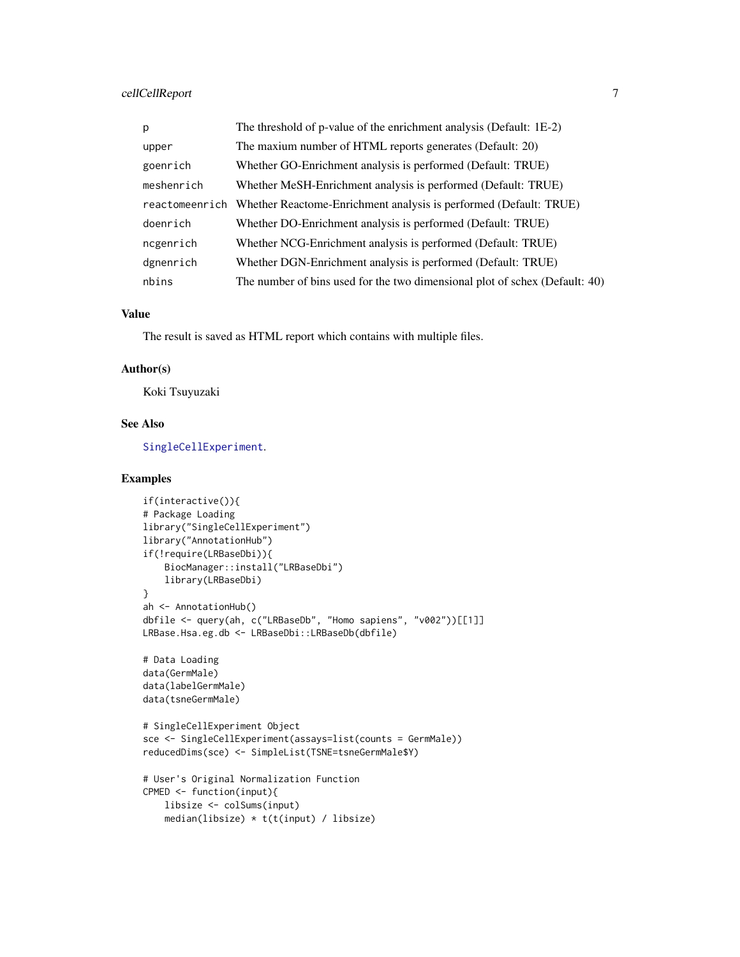# <span id="page-6-0"></span>cellCellReport 7

| p          | The threshold of p-value of the enrichment analysis (Default: 1E-2)              |  |
|------------|----------------------------------------------------------------------------------|--|
| upper      | The maxium number of HTML reports generates (Default: 20)                        |  |
| goenrich   | Whether GO-Enrichment analysis is performed (Default: TRUE)                      |  |
| meshenrich | Whether MeSH-Enrichment analysis is performed (Default: TRUE)                    |  |
|            | reactomeenrich Whether Reactome-Enrichment analysis is performed (Default: TRUE) |  |
| doenrich   | Whether DO-Enrichment analysis is performed (Default: TRUE)                      |  |
| ncgenrich  | Whether NCG-Enrichment analysis is performed (Default: TRUE)                     |  |
| dgnenrich  | Whether DGN-Enrichment analysis is performed (Default: TRUE)                     |  |
| nbins      | The number of bins used for the two dimensional plot of schex (Default: 40)      |  |

# Value

The result is saved as HTML report which contains with multiple files.

#### Author(s)

Koki Tsuyuzaki

#### See Also

[SingleCellExperiment](#page-0-0).

# Examples

```
if(interactive()){
# Package Loading
library("SingleCellExperiment")
library("AnnotationHub")
if(!require(LRBaseDbi)){
    BiocManager::install("LRBaseDbi")
    library(LRBaseDbi)
}
ah <- AnnotationHub()
dbfile <- query(ah, c("LRBaseDb", "Homo sapiens", "v002"))[[1]]
LRBase.Hsa.eg.db <- LRBaseDbi::LRBaseDb(dbfile)
# Data Loading
data(GermMale)
data(labelGermMale)
data(tsneGermMale)
# SingleCellExperiment Object
sce <- SingleCellExperiment(assays=list(counts = GermMale))
reducedDims(sce) <- SimpleList(TSNE=tsneGermMale$Y)
# User's Original Normalization Function
CPMED <- function(input){
   libsize <- colSums(input)
   median(libsize) * t(t(input) / libsize)
```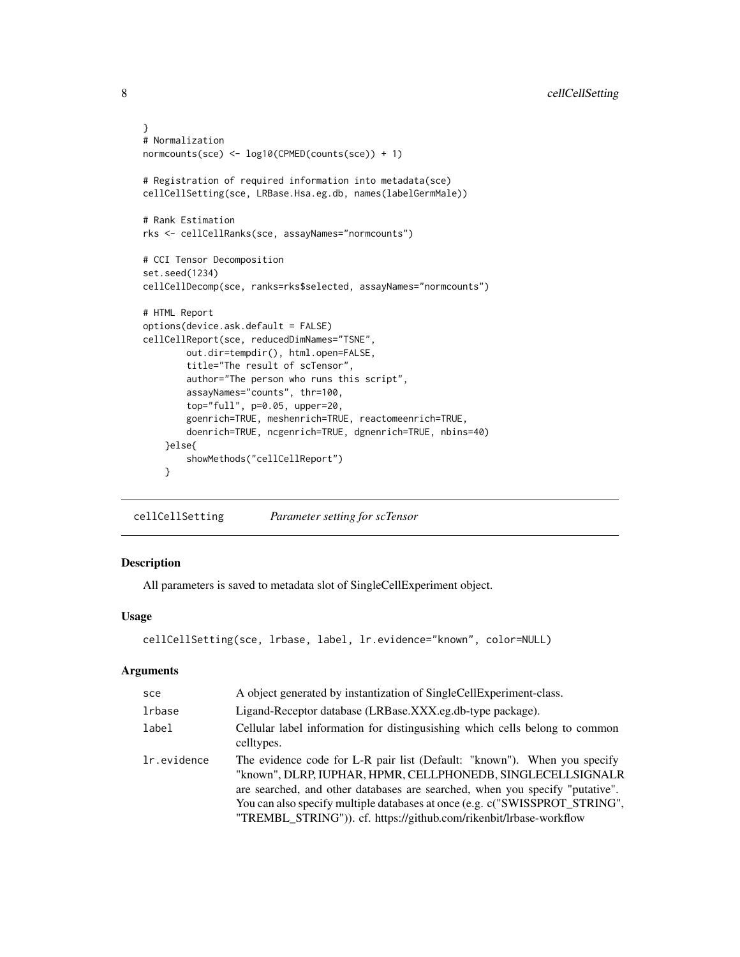```
}
# Normalization
normcounts(sce) <- log10(CPMED(counts(sce)) + 1)
# Registration of required information into metadata(sce)
cellCellSetting(sce, LRBase.Hsa.eg.db, names(labelGermMale))
# Rank Estimation
rks <- cellCellRanks(sce, assayNames="normcounts")
# CCI Tensor Decomposition
set.seed(1234)
cellCellDecomp(sce, ranks=rks$selected, assayNames="normcounts")
# HTML Report
options(device.ask.default = FALSE)
cellCellReport(sce, reducedDimNames="TSNE",
        out.dir=tempdir(), html.open=FALSE,
        title="The result of scTensor",
        author="The person who runs this script",
        assayNames="counts", thr=100,
        top="full", p=0.05, upper=20,
        goenrich=TRUE, meshenrich=TRUE, reactomeenrich=TRUE,
        doenrich=TRUE, ncgenrich=TRUE, dgnenrich=TRUE, nbins=40)
    }else{
        showMethods("cellCellReport")
    }
```
<span id="page-7-1"></span>cellCellSetting *Parameter setting for scTensor*

### Description

All parameters is saved to metadata slot of SingleCellExperiment object.

# Usage

```
cellCellSetting(sce, lrbase, label, lr.evidence="known", color=NULL)
```
# Arguments

| sce         | A object generated by instantization of SingleCellExperiment-class.                                                                                                                                                                                                                                                                                                          |  |
|-------------|------------------------------------------------------------------------------------------------------------------------------------------------------------------------------------------------------------------------------------------------------------------------------------------------------------------------------------------------------------------------------|--|
| lrbase      | Ligand-Receptor database (LRBase.XXX.eg.db-type package).                                                                                                                                                                                                                                                                                                                    |  |
| label       | Cellular label information for distinguishing which cells belong to common<br>celltypes.                                                                                                                                                                                                                                                                                     |  |
| lr.evidence | The evidence code for L-R pair list (Default: "known"). When you specify<br>"known", DLRP, IUPHAR, HPMR, CELLPHONEDB, SINGLECELLSIGNALR<br>are searched, and other databases are searched, when you specify "putative".<br>You can also specify multiple databases at once (e.g. c("SWISSPROT_STRING",<br>"TREMBL_STRING")). cf. https://github.com/rikenbit/lrbase-workflow |  |

<span id="page-7-0"></span>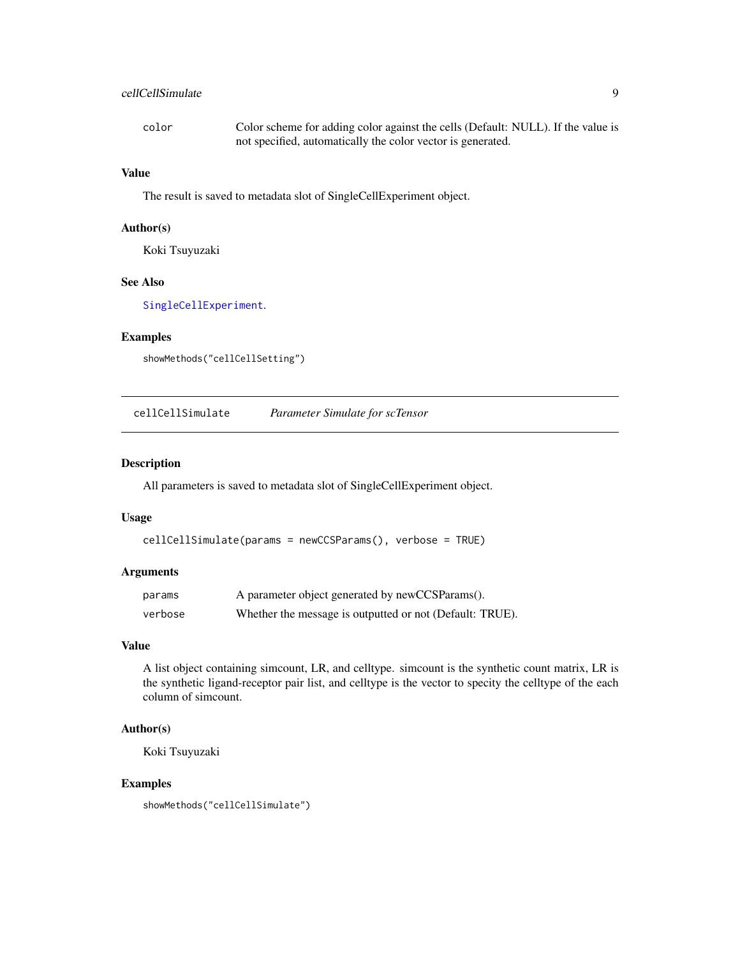# <span id="page-8-0"></span>cellCellSimulate 9

| color | Color scheme for adding color against the cells (Default: NULL). If the value is |
|-------|----------------------------------------------------------------------------------|
|       | not specified, automatically the color vector is generated.                      |

# Value

The result is saved to metadata slot of SingleCellExperiment object.

# Author(s)

Koki Tsuyuzaki

#### See Also

[SingleCellExperiment](#page-0-0).

# Examples

showMethods("cellCellSetting")

cellCellSimulate *Parameter Simulate for scTensor*

#### Description

All parameters is saved to metadata slot of SingleCellExperiment object.

#### Usage

```
cellCellSimulate(params = newCCSParams(), verbose = TRUE)
```
#### Arguments

| params  | A parameter object generated by newCCSParams().          |
|---------|----------------------------------------------------------|
| verbose | Whether the message is outputted or not (Default: TRUE). |

# Value

A list object containing simcount, LR, and celltype. simcount is the synthetic count matrix, LR is the synthetic ligand-receptor pair list, and celltype is the vector to specity the celltype of the each column of simcount.

#### Author(s)

Koki Tsuyuzaki

# Examples

showMethods("cellCellSimulate")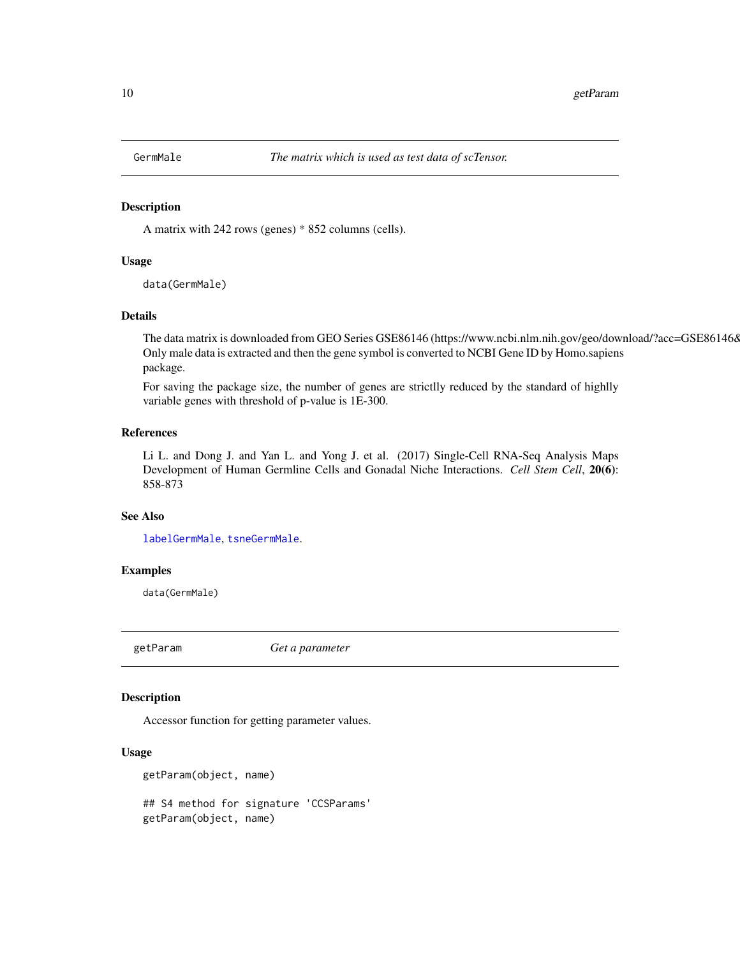<span id="page-9-1"></span><span id="page-9-0"></span>

A matrix with 242 rows (genes) \* 852 columns (cells).

#### Usage

data(GermMale)

#### Details

The data matrix is downloaded from GEO Series GSE86146 (https://www.ncbi.nlm.nih.gov/geo/download/?acc=GSE86146& Only male data is extracted and then the gene symbol is converted to NCBI Gene ID by Homo.sapiens package.

For saving the package size, the number of genes are strictlly reduced by the standard of highlly variable genes with threshold of p-value is 1E-300.

#### References

Li L. and Dong J. and Yan L. and Yong J. et al. (2017) Single-Cell RNA-Seq Analysis Maps Development of Human Germline Cells and Gonadal Niche Interactions. *Cell Stem Cell*, 20(6): 858-873

#### See Also

[labelGermMale](#page-10-1), [tsneGermMale](#page-13-1).

#### Examples

data(GermMale)

<span id="page-9-2"></span>getParam *Get a parameter*

# Description

Accessor function for getting parameter values.

#### Usage

```
getParam(object, name)
## S4 method for signature 'CCSParams'
getParam(object, name)
```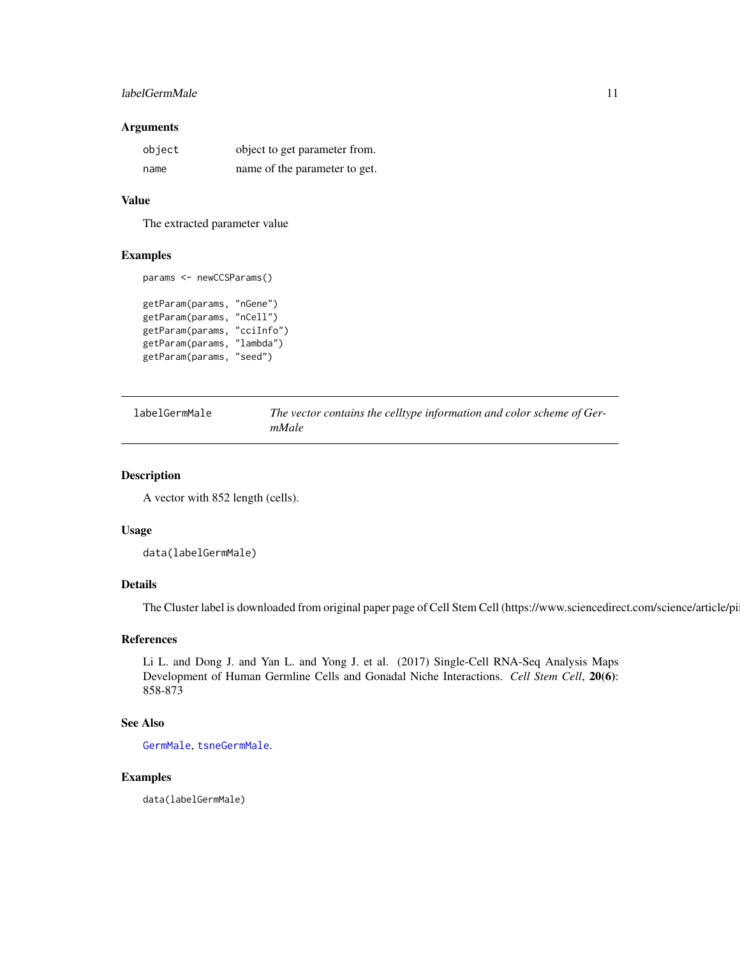#### <span id="page-10-0"></span>labelGermMale 11

#### Arguments

| object | object to get parameter from. |
|--------|-------------------------------|
| name   | name of the parameter to get. |

#### Value

The extracted parameter value

#### Examples

```
params <- newCCSParams()
```

```
getParam(params, "nGene")
getParam(params, "nCell")
getParam(params, "cciInfo")
getParam(params, "lambda")
getParam(params, "seed")
```

```
labelGermMale The vector contains the celltype information and color scheme of Ger-
                       mMale
```
#### Description

A vector with 852 length (cells).

#### Usage

```
data(labelGermMale)
```
# Details

The Cluster label is downloaded from original paper page of Cell Stem Cell (https://www.sciencedirect.com/science/article/pi

### References

Li L. and Dong J. and Yan L. and Yong J. et al. (2017) Single-Cell RNA-Seq Analysis Maps Development of Human Germline Cells and Gonadal Niche Interactions. *Cell Stem Cell*, 20(6): 858-873

#### See Also

[GermMale](#page-9-1), [tsneGermMale](#page-13-1).

# Examples

data(labelGermMale)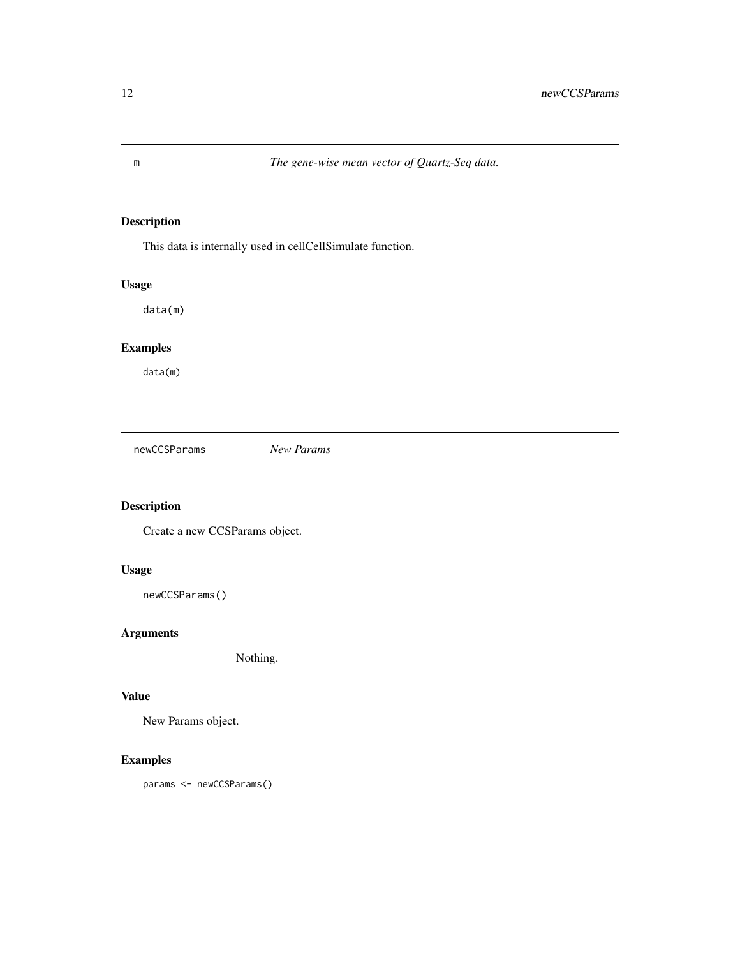This data is internally used in cellCellSimulate function.

# Usage

data(m)

# Examples

data(m)

<span id="page-11-1"></span>newCCSParams *New Params*

# Description

Create a new CCSParams object.

# Usage

```
newCCSParams()
```
# Arguments

Nothing.

#### Value

New Params object.

# Examples

params <- newCCSParams()

<span id="page-11-0"></span>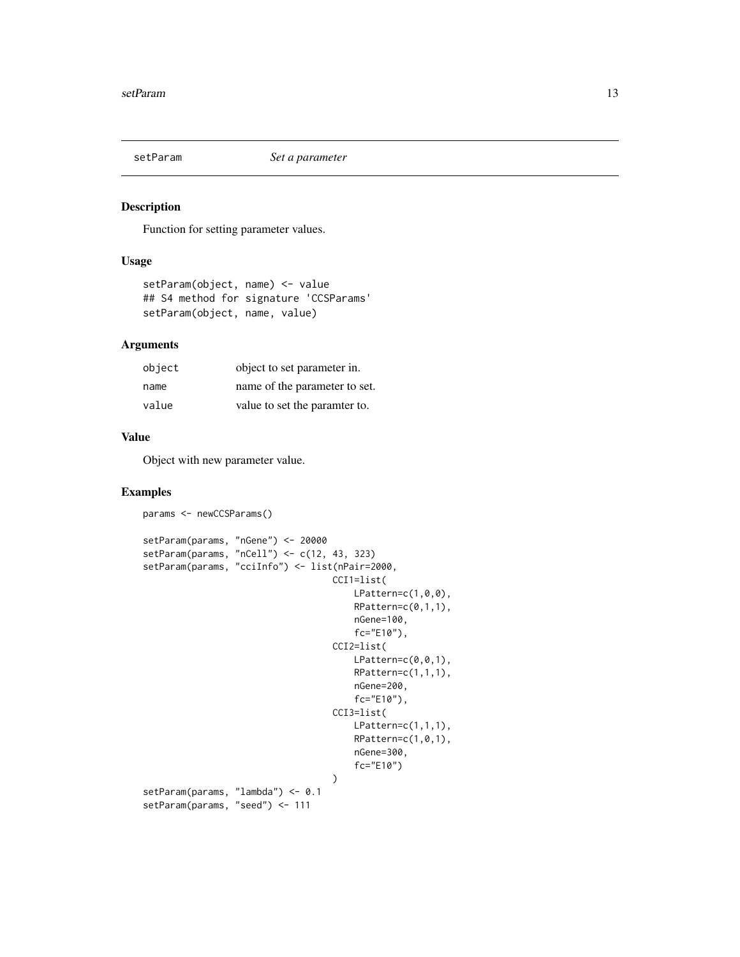<span id="page-12-1"></span><span id="page-12-0"></span>

Function for setting parameter values.

#### Usage

```
setParam(object, name) <- value
## S4 method for signature 'CCSParams'
setParam(object, name, value)
```
# Arguments

| object | object to set parameter in.   |
|--------|-------------------------------|
| name   | name of the parameter to set. |
| value  | value to set the paramter to. |

# Value

Object with new parameter value.

# Examples

```
params <- newCCSParams()
setParam(params, "nGene") <- 20000
setParam(params, "nCell") <- c(12, 43, 323)
setParam(params, "cciInfo") <- list(nPair=2000,
                                    CCI1=list(
                                        LPattern=c(1,0,0),
                                        RPattern=c(0,1,1),
                                        nGene=100,
                                        fc="E10"),
                                    CCI2=list(
                                        LPattern=c(0,0,1),
                                        RPattern=c(1,1,1),
                                        nGene=200,
                                        fc="E10"),
                                    CCI3=list(
                                        LPattern=c(1,1,1),
                                        RPattern=c(1,0,1),
                                        nGene=300,
                                         fc="E10")
                                    \mathcal{L}setParam(params, "lambda") <- 0.1
setParam(params, "seed") <- 111
```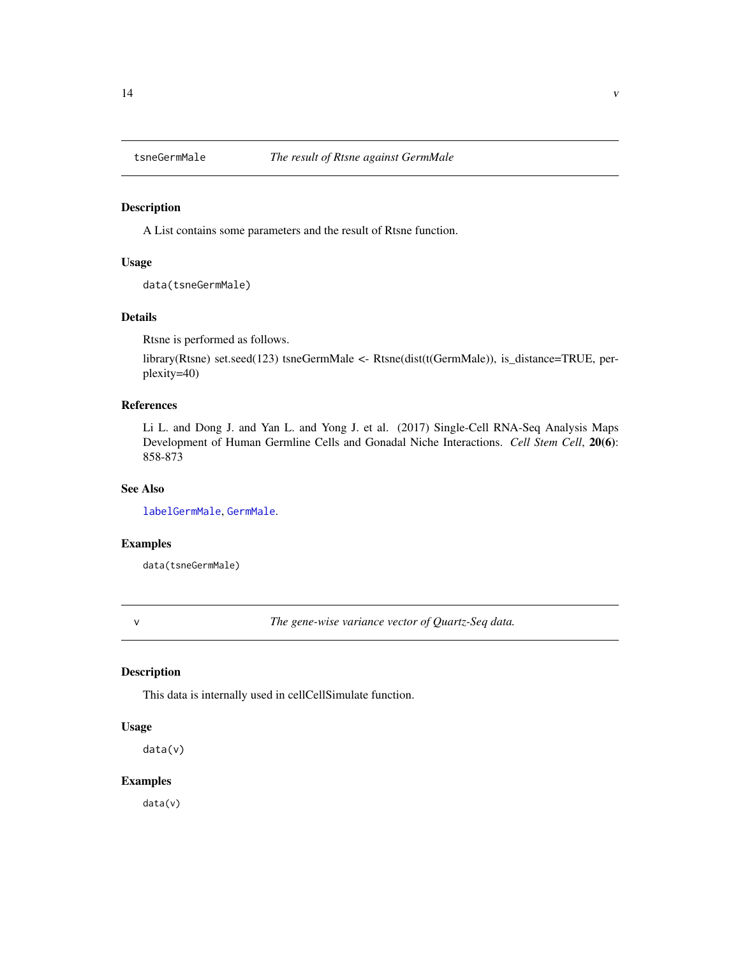<span id="page-13-1"></span><span id="page-13-0"></span>

A List contains some parameters and the result of Rtsne function.

#### Usage

data(tsneGermMale)

# Details

Rtsne is performed as follows.

library(Rtsne) set.seed(123) tsneGermMale <- Rtsne(dist(t(GermMale)), is\_distance=TRUE, perplexity=40)

# References

Li L. and Dong J. and Yan L. and Yong J. et al. (2017) Single-Cell RNA-Seq Analysis Maps Development of Human Germline Cells and Gonadal Niche Interactions. *Cell Stem Cell*, 20(6): 858-873

### See Also

[labelGermMale](#page-10-1), [GermMale](#page-9-1).

#### Examples

data(tsneGermMale)

v *The gene-wise variance vector of Quartz-Seq data.*

# Description

This data is internally used in cellCellSimulate function.

#### Usage

data(v)

#### Examples

data(v)